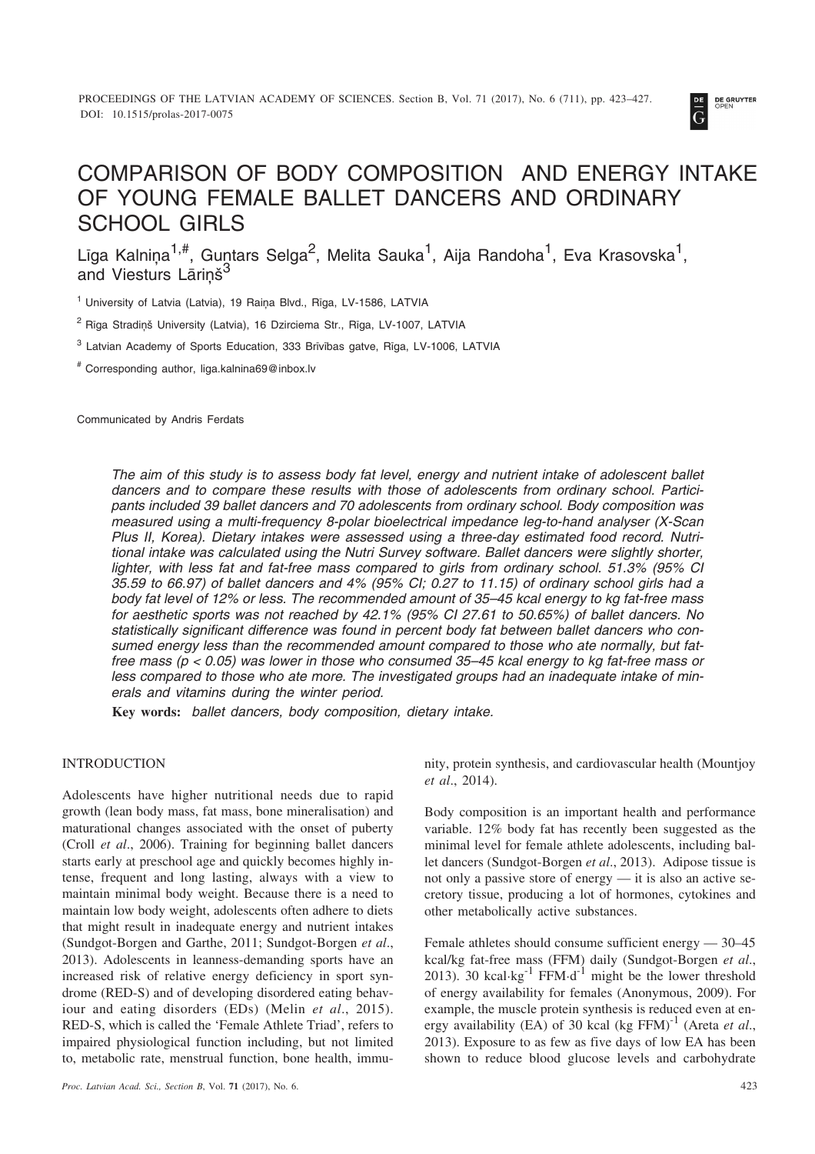

# COMPARISON OF BODY COMPOSITION AND ENERGY INTAKE OF YOUNG FEMALE BALLET DANCERS AND ORDINARY SCHOOL GIRLS

Līga Kalniņa $^{1,\#}$ , Guntars Selga $^2$ , Melita Sauka $^1$ , Aija Randoha $^1$ , Eva Krasovska $^1$ , and Viesturs Lārinš<sup>3</sup>

<sup>1</sup> University of Latvia (Latvia), 19 Raiņa Blvd., Rīga, LV-1586, LATVIA

<sup>2</sup> Rīga Stradinš University (Latvia), 16 Dzirciema Str., Rīga, LV-1007, LATVIA

<sup>3</sup> Latvian Academy of Sports Education, 333 Brīvības gatve, Rīga, LV-1006, LATVIA

# Corresponding author, liga.kalnina69@inbox.lv

Communicated by Andris Ferdats

*The aim of this study is to assess body fat level, energy and nutrient intake of adolescent ballet dancers and to compare these results with those of adolescents from ordinary school. Participants included 39 ballet dancers and 70 adolescents from ordinary school. Body composition was measured using a multi-frequency 8-polar bioelectrical impedance leg-to-hand analyser (X-Scan Plus II, Korea). Dietary intakes were assessed using a three-day estimated food record. Nutritional intake was calculated using the Nutri Survey software. Ballet dancers were slightly shorter, lighter, with less fat and fat-free mass compared to girls from ordinary school. 51.3% (95% CI 35.59 to 66.97) of ballet dancers and 4% (95% CI; 0.27 to 11.15) of ordinary school girls had a body fat level of 12% or less. The recommended amount of 35–45 kcal energy to kg fat-free mass for aesthetic sports was not reached by 42.1% (95% CI 27.61 to 50.65%) of ballet dancers. No statistically significant difference was found in percent body fat between ballet dancers who consumed energy less than the recommended amount compared to those who ate normally, but fatfree mass (p < 0.05) was lower in those who consumed 35–45 kcal energy to kg fat-free mass or less compared to those who ate more. The investigated groups had an inadequate intake of minerals and vitamins during the winter period.*

**Key words:** *ballet dancers, body composition, dietary intake.*

# INTRODUCTION

Adolescents have higher nutritional needs due to rapid growth (lean body mass, fat mass, bone mineralisation) and maturational changes associated with the onset of puberty (Croll *et al*., 2006). Training for beginning ballet dancers starts early at preschool age and quickly becomes highly intense, frequent and long lasting, always with a view to maintain minimal body weight. Because there is a need to maintain low body weight, adolescents often adhere to diets that might result in inadequate energy and nutrient intakes (Sundgot-Borgen and Garthe, 2011; Sundgot-Borgen *et al*., 2013). Adolescents in leanness-demanding sports have an increased risk of relative energy deficiency in sport syndrome (RED-S) and of developing disordered eating behaviour and eating disorders (EDs) (Melin *et al*., 2015). RED-S, which is called the 'Female Athlete Triad', refers to impaired physiological function including, but not limited to, metabolic rate, menstrual function, bone health, immunity, protein synthesis, and cardiovascular health (Mountjoy *et al*., 2014).

Body composition is an important health and performance variable. 12% body fat has recently been suggested as the minimal level for female athlete adolescents, including ballet dancers (Sundgot-Borgen *et al*., 2013). Adipose tissue is not only a passive store of energy — it is also an active secretory tissue, producing a lot of hormones, cytokines and other metabolically active substances.

Female athletes should consume sufficient energy — 30–45 kcal/kg fat-free mass (FFM) daily (Sundgot-Borgen *et al*., 2013). 30 kcal·kg $^{-1}$  FFM·d<sup>-1</sup> might be the lower threshold of energy availability for females (Anonymous, 2009). For example, the muscle protein synthesis is reduced even at energy availability (EA) of 30 kcal (kg FFM)-1 (Areta *et al*., 2013). Exposure to as few as five days of low EA has been shown to reduce blood glucose levels and carbohydrate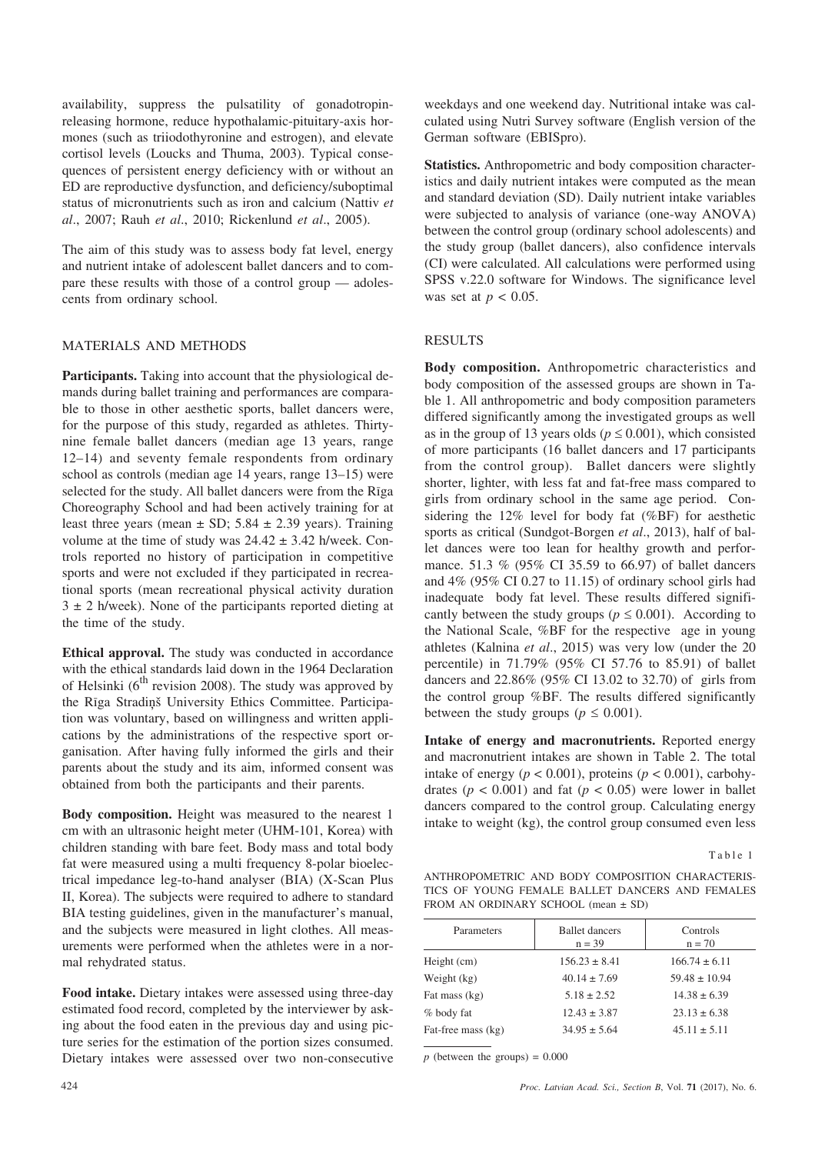availability, suppress the pulsatility of gonadotropinreleasing hormone, reduce hypothalamic-pituitary-axis hormones (such as triiodothyronine and estrogen), and elevate cortisol levels (Loucks and Thuma, 2003). Typical consequences of persistent energy deficiency with or without an ED are reproductive dysfunction, and deficiency/suboptimal status of micronutrients such as iron and calcium (Nattiv *et al*., 2007; Rauh *et al*., 2010; Rickenlund *et al*., 2005).

The aim of this study was to assess body fat level, energy and nutrient intake of adolescent ballet dancers and to compare these results with those of a control group — adolescents from ordinary school.

## MATERIALS AND METHODS

**Participants.** Taking into account that the physiological demands during ballet training and performances are comparable to those in other aesthetic sports, ballet dancers were, for the purpose of this study, regarded as athletes. Thirtynine female ballet dancers (median age 13 years, range 12–14) and seventy female respondents from ordinary school as controls (median age 14 years, range 13–15) were selected for the study. All ballet dancers were from the Rîga Choreography School and had been actively training for at least three years (mean  $\pm$  SD; 5.84  $\pm$  2.39 years). Training volume at the time of study was  $24.42 \pm 3.42$  h/week. Controls reported no history of participation in competitive sports and were not excluded if they participated in recreational sports (mean recreational physical activity duration  $3 \pm 2$  h/week). None of the participants reported dieting at the time of the study.

**Ethical approval.** The study was conducted in accordance with the ethical standards laid down in the 1964 Declaration of Helsinki ( $6<sup>th</sup>$  revision 2008). The study was approved by the Rīga Stradiņš University Ethics Committee. Participation was voluntary, based on willingness and written applications by the administrations of the respective sport organisation. After having fully informed the girls and their parents about the study and its aim, informed consent was obtained from both the participants and their parents.

**Body composition.** Height was measured to the nearest 1 cm with an ultrasonic height meter (UHM-101, Korea) with children standing with bare feet. Body mass and total body fat were measured using a multi frequency 8-polar bioelectrical impedance leg-to-hand analyser (BIA) (X-Scan Plus II, Korea). The subjects were required to adhere to standard BIA testing guidelines, given in the manufacturer's manual, and the subjects were measured in light clothes. All measurements were performed when the athletes were in a normal rehydrated status.

**Food intake.** Dietary intakes were assessed using three-day estimated food record, completed by the interviewer by asking about the food eaten in the previous day and using picture series for the estimation of the portion sizes consumed. Dietary intakes were assessed over two non-consecutive weekdays and one weekend day. Nutritional intake was calculated using Nutri Survey software (English version of the German software (EBISpro).

**Statistics.** Anthropometric and body composition characteristics and daily nutrient intakes were computed as the mean and standard deviation (SD). Daily nutrient intake variables were subjected to analysis of variance (one-way ANOVA) between the control group (ordinary school adolescents) and the study group (ballet dancers), also confidence intervals (CI) were calculated. All calculations were performed using SPSS v.22.0 software for Windows. The significance level was set at *p* < 0.05.

## RESULTS

**Body composition.** Anthropometric characteristics and body composition of the assessed groups are shown in Table 1. All anthropometric and body composition parameters differed significantly among the investigated groups as well as in the group of 13 years olds ( $p \le 0.001$ ), which consisted of more participants (16 ballet dancers and 17 participants from the control group). Ballet dancers were slightly shorter, lighter, with less fat and fat-free mass compared to girls from ordinary school in the same age period. Considering the 12% level for body fat (%BF) for aesthetic sports as critical (Sundgot-Borgen *et al*., 2013), half of ballet dances were too lean for healthy growth and performance. 51.3 % (95% CI 35.59 to 66.97) of ballet dancers and  $4\%$  (95% CI 0.27 to 11.15) of ordinary school girls had inadequate body fat level. These results differed significantly between the study groups ( $p \le 0.001$ ). According to the National Scale, %BF for the respective age in young athletes (Kalnina *et al*., 2015) was very low (under the 20 percentile) in 71.79% (95% CI 57.76 to 85.91) of ballet dancers and 22.86% (95% CI 13.02 to 32.70) of girls from the control group %BF. The results differed significantly between the study groups ( $p \le 0.001$ ).

**Intake of energy and macronutrients.** Reported energy and macronutrient intakes are shown in Table 2. The total intake of energy ( $p < 0.001$ ), proteins ( $p < 0.001$ ), carbohydrates ( $p < 0.001$ ) and fat ( $p < 0.05$ ) were lower in ballet dancers compared to the control group. Calculating energy intake to weight (kg), the control group consumed even less

Table 1

| ANTHROPOMETRIC AND BODY COMPOSITION CHARACTERIS- |  |  |
|--------------------------------------------------|--|--|
| TICS OF YOUNG FEMALE BALLET DANCERS AND FEMALES  |  |  |
| FROM AN ORDINARY SCHOOL (mean ± SD)              |  |  |

| Parameters         | <b>Ballet</b> dancers<br>$n = 39$ | Controls<br>$n = 70$ |
|--------------------|-----------------------------------|----------------------|
| Height (cm)        | $156.23 \pm 8.41$                 | $166.74 \pm 6.11$    |
| Weight (kg)        | $40.14 \pm 7.69$                  | $59.48 \pm 10.94$    |
| Fat mass (kg)      | $5.18 \pm 2.52$                   | $14.38 \pm 6.39$     |
| % body fat         | $12.43 \pm 3.87$                  | $23.13 \pm 6.38$     |
| Fat-free mass (kg) | $34.95 \pm 5.64$                  | $45.11 \pm 5.11$     |

 $p$  (between the groups) =  $0.000$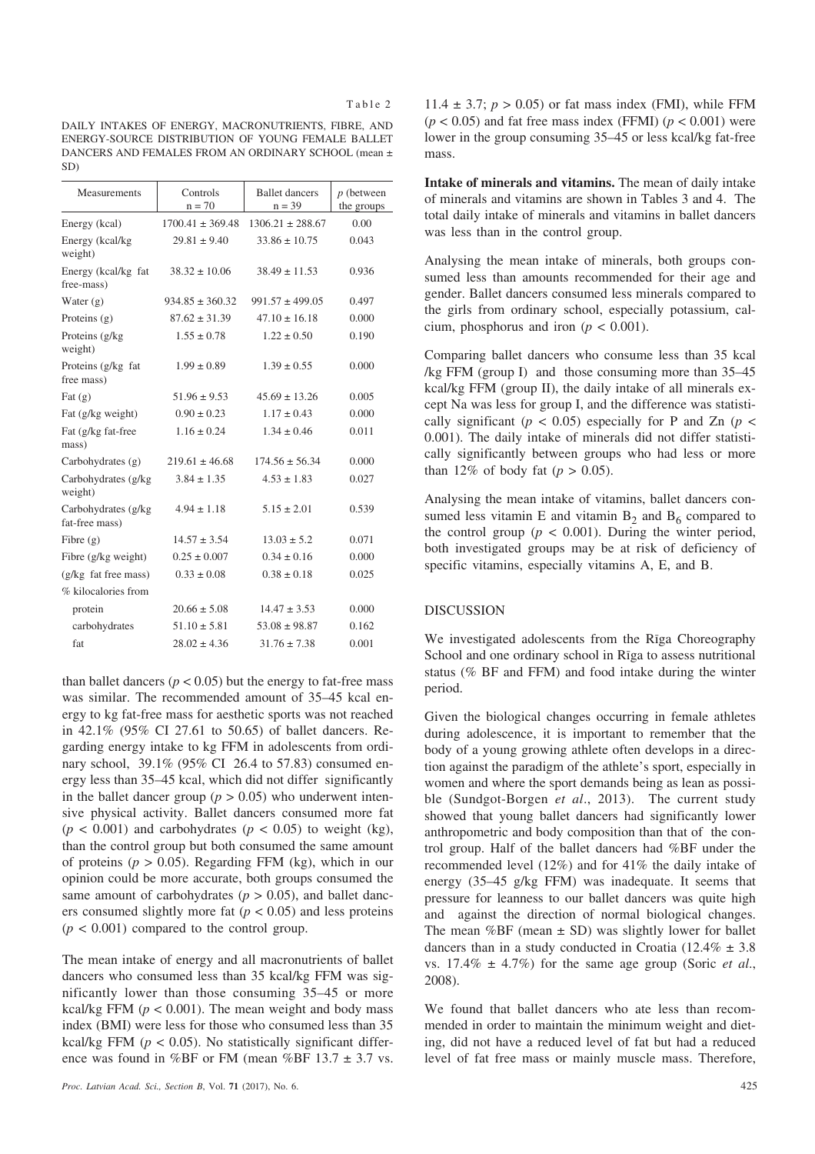DAILY INTAKES OF ENERGY, MACRONUTRIENTS, FIBRE, AND ENERGY-SOURCE DISTRIBUTION OF YOUNG FEMALE BALLET DANCERS AND FEMALES FROM AN ORDINARY SCHOOL (mean ± SD)

| Measurements                           | Controls<br>$n = 70$ | <b>Ballet</b> dancers<br>$n = 39$ | $p$ (between<br>the groups |
|----------------------------------------|----------------------|-----------------------------------|----------------------------|
| Energy (kcal)                          | $1700.41 \pm 369.48$ | $1306.21 \pm 288.67$              | 0.00                       |
| Energy (kcal/kg<br>weight)             | $29.81 \pm 9.40$     | $33.86 \pm 10.75$                 | 0.043                      |
| Energy (kcal/kg fat<br>free-mass)      | $38.32 \pm 10.06$    | $38.49 \pm 11.53$                 | 0.936                      |
| Water $(g)$                            | $934.85 \pm 360.32$  | $991.57 \pm 499.05$               | 0.497                      |
| Proteins (g)                           | $87.62 \pm 31.39$    | $47.10 \pm 16.18$                 | 0.000                      |
| Proteins (g/kg)<br>weight)             | $1.55 \pm 0.78$      | $1.22 \pm 0.50$                   | 0.190                      |
| Proteins (g/kg fat<br>free mass)       | $1.99 \pm 0.89$      | $1.39 \pm 0.55$                   | 0.000                      |
| Fat $(g)$                              | $51.96 \pm 9.53$     | $45.69 \pm 13.26$                 | 0.005                      |
| Fat (g/kg weight)                      | $0.90 \pm 0.23$      | $1.17 \pm 0.43$                   | 0.000                      |
| Fat (g/kg fat-free<br>mass)            | $1.16 \pm 0.24$      | $1.34 \pm 0.46$                   | 0.011                      |
| Carbohydrates $(g)$                    | $219.61 \pm 46.68$   | $174.56 \pm 56.34$                | 0.000                      |
| Carbohydrates (g/kg)<br>weight)        | $3.84 \pm 1.35$      | $4.53 \pm 1.83$                   | 0.027                      |
| Carbohydrates (g/kg)<br>fat-free mass) | $4.94 \pm 1.18$      | $5.15 \pm 2.01$                   | 0.539                      |
| Fibre $(g)$                            | $14.57 \pm 3.54$     | $13.03 \pm 5.2$                   | 0.071                      |
| Fibre (g/kg weight)                    | $0.25 \pm 0.007$     | $0.34 \pm 0.16$                   | 0.000                      |
| (g/kg fat free mass)                   | $0.33 \pm 0.08$      | $0.38 \pm 0.18$                   | 0.025                      |
| % kilocalories from                    |                      |                                   |                            |
| protein                                | $20.66 \pm 5.08$     | $14.47 \pm 3.53$                  | 0.000                      |
| carbohydrates                          | $51.10 \pm 5.81$     | $53.08 \pm 98.87$                 | 0.162                      |
| fat                                    | $28.02 \pm 4.36$     | $31.76 \pm 7.38$                  | 0.001                      |
|                                        |                      |                                   |                            |

than ballet dancers ( $p < 0.05$ ) but the energy to fat-free mass was similar. The recommended amount of 35–45 kcal energy to kg fat-free mass for aesthetic sports was not reached in 42.1% (95% CI 27.61 to 50.65) of ballet dancers. Regarding energy intake to kg FFM in adolescents from ordinary school, 39.1% (95% CI 26.4 to 57.83) consumed energy less than 35–45 kcal, which did not differ significantly in the ballet dancer group ( $p > 0.05$ ) who underwent intensive physical activity. Ballet dancers consumed more fat  $(p < 0.001)$  and carbohydrates  $(p < 0.05)$  to weight (kg), than the control group but both consumed the same amount of proteins ( $p > 0.05$ ). Regarding FFM (kg), which in our opinion could be more accurate, both groups consumed the same amount of carbohydrates ( $p > 0.05$ ), and ballet dancers consumed slightly more fat  $(p < 0.05)$  and less proteins  $(p < 0.001)$  compared to the control group.

The mean intake of energy and all macronutrients of ballet dancers who consumed less than 35 kcal/kg FFM was significantly lower than those consuming 35–45 or more kcal/kg FFM  $(p < 0.001)$ . The mean weight and body mass index (BMI) were less for those who consumed less than 35 kcal/kg FFM  $(p < 0.05)$ . No statistically significant difference was found in %BF or FM (mean %BF 13.7  $\pm$  3.7 vs.

11.4  $\pm$  3.7;  $p > 0.05$ ) or fat mass index (FMI), while FFM  $(p < 0.05)$  and fat free mass index (FFMI)  $(p < 0.001)$  were lower in the group consuming 35–45 or less kcal/kg fat-free mass.

**Intake of minerals and vitamins.** The mean of daily intake of minerals and vitamins are shown in Tables 3 and 4. The total daily intake of minerals and vitamins in ballet dancers was less than in the control group.

Analysing the mean intake of minerals, both groups consumed less than amounts recommended for their age and gender. Ballet dancers consumed less minerals compared to the girls from ordinary school, especially potassium, calcium, phosphorus and iron ( $p < 0.001$ ).

Comparing ballet dancers who consume less than 35 kcal /kg FFM (group I) and those consuming more than 35–45 kcal/kg FFM (group II), the daily intake of all minerals except Na was less for group I, and the difference was statistically significant ( $p < 0.05$ ) especially for P and Zn ( $p <$ 0.001). The daily intake of minerals did not differ statistically significantly between groups who had less or more than 12% of body fat  $(p > 0.05)$ .

Analysing the mean intake of vitamins, ballet dancers consumed less vitamin E and vitamin  $B_2$  and  $B_6$  compared to the control group ( $p < 0.001$ ). During the winter period, both investigated groups may be at risk of deficiency of specific vitamins, especially vitamins A, E, and B.

# DISCUSSION

We investigated adolescents from the Rîga Choreography School and one ordinary school in Rîga to assess nutritional status (% BF and FFM) and food intake during the winter period.

Given the biological changes occurring in female athletes during adolescence, it is important to remember that the body of a young growing athlete often develops in a direction against the paradigm of the athlete's sport, especially in women and where the sport demands being as lean as possible (Sundgot-Borgen *et al*., 2013). The current study showed that young ballet dancers had significantly lower anthropometric and body composition than that of the control group. Half of the ballet dancers had %BF under the recommended level (12%) and for 41% the daily intake of energy (35–45 g/kg FFM) was inadequate. It seems that pressure for leanness to our ballet dancers was quite high and against the direction of normal biological changes. The mean  $%BF$  (mean  $\pm$  SD) was slightly lower for ballet dancers than in a study conducted in Croatia (12.4%  $\pm$  3.8) vs. 17.4% ± 4.7%) for the same age group (Soric *et al*., 2008).

We found that ballet dancers who ate less than recommended in order to maintain the minimum weight and dieting, did not have a reduced level of fat but had a reduced level of fat free mass or mainly muscle mass. Therefore,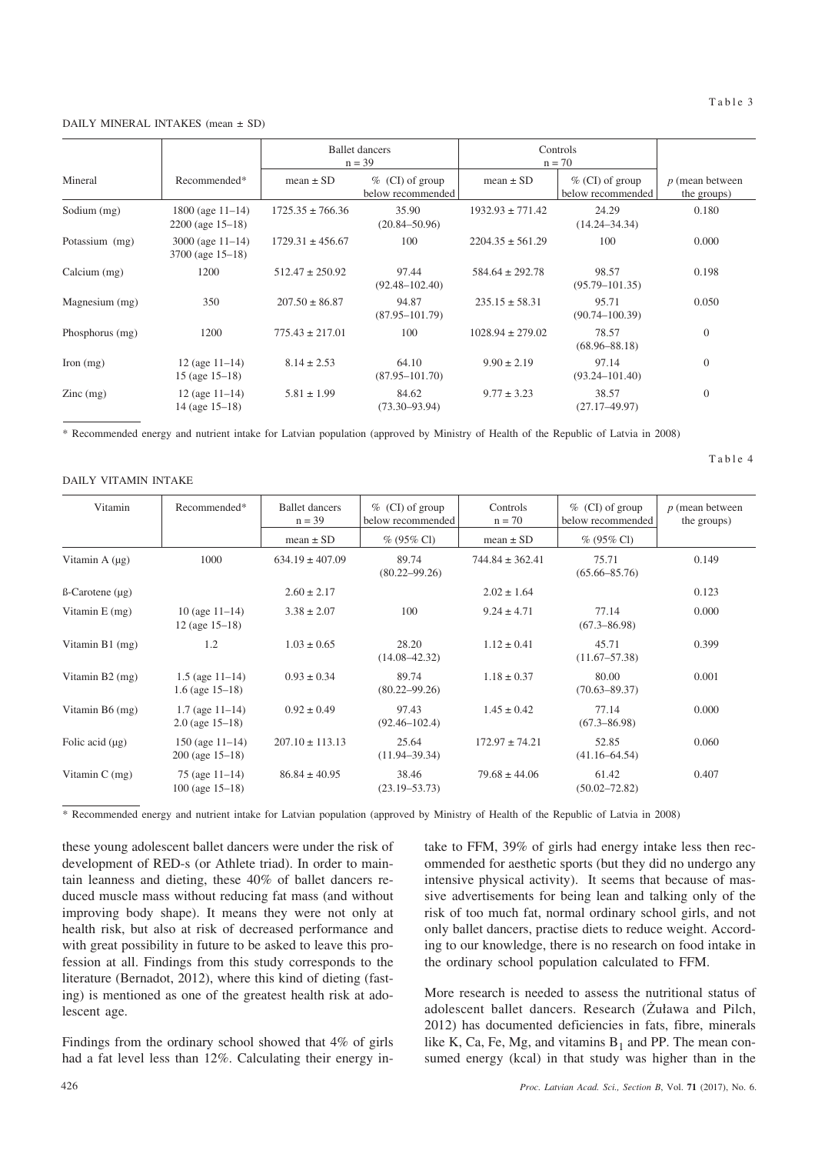#### DAILY MINERAL INTAKES (mean ± SD)

|                    |                                                | <b>Ballet</b> dancers<br>$n = 39$ |                                        | Controls<br>$n = 70$ |                                         |                                  |
|--------------------|------------------------------------------------|-----------------------------------|----------------------------------------|----------------------|-----------------------------------------|----------------------------------|
| Mineral            | Recommended*                                   | mean $\pm$ SD                     | $%$ (CI) of group<br>below recommended | $mean \pm SD$        | $\%$ (CI) of group<br>below recommended | $p$ (mean between<br>the groups) |
| Sodium (mg)        | $1800$ (age $11-14$ )<br>$2200$ (age $15-18$ ) | $1725.35 \pm 766.36$              | 35.90<br>$(20.84 - 50.96)$             | $1932.93 \pm 771.42$ | 24.29<br>$(14.24 - 34.34)$              | 0.180                            |
| Potassium (mg)     | $3000$ (age $11-14$ )<br>$3700$ (age $15-18$ ) | $1729.31 \pm 456.67$              | 100                                    | $2204.35 \pm 561.29$ | 100                                     | 0.000                            |
| Calcium $(mg)$     | 1200                                           | $512.47 \pm 250.92$               | 97.44<br>$(92.48 - 102.40)$            | $584.64 \pm 292.78$  | 98.57<br>$(95.79 - 101.35)$             | 0.198                            |
| Magnesium (mg)     | 350                                            | $207.50 \pm 86.87$                | 94.87<br>$(87.95 - 101.79)$            | $235.15 \pm 58.31$   | 95.71<br>$(90.74 - 100.39)$             | 0.050                            |
| Phosphorus (mg)    | 1200                                           | $775.43 \pm 217.01$               | 100                                    | $1028.94 \pm 279.02$ | 78.57<br>$(68.96 - 88.18)$              | $\theta$                         |
| Iron $(mg)$        | $12$ (age $11-14$ )<br>15 (age $15-18$ )       | $8.14 \pm 2.53$                   | 64.10<br>$(87.95 - 101.70)$            | $9.90 \pm 2.19$      | 97.14<br>$(93.24 - 101.40)$             | $\mathbf{0}$                     |
| $\text{Zinc}$ (mg) | $12$ (age $11-14$ )<br>$14$ (age $15-18$ )     | $5.81 \pm 1.99$                   | 84.62<br>$(73.30 - 93.94)$             | $9.77 \pm 3.23$      | 38.57<br>$(27.17 - 49.97)$              | $\mathbf{0}$                     |

\* Recommended energy and nutrient intake for Latvian population (approved by Ministry of Health of the Republic of Latvia in 2008)

## DAILY VITAMIN INTAKE

Table 4

| Vitamin                      | Recommended*                                 | <b>Ballet</b> dancers<br>$n = 39$ | $\%$ (CI) of group<br>below recommended | Controls<br>$n = 70$ | $\%$ (CI) of group<br>below recommended | $p$ (mean between<br>the groups) |
|------------------------------|----------------------------------------------|-----------------------------------|-----------------------------------------|----------------------|-----------------------------------------|----------------------------------|
|                              |                                              | mean $\pm$ SD                     | $% (95\% Cl)$                           | $mean \pm SD$        | $% (95\% \text{ Cl})$                   |                                  |
| Vitamin A $(\mu g)$          | 1000                                         | $634.19 \pm 407.09$               | 89.74<br>$(80.22 - 99.26)$              | $744.84 \pm 362.41$  | 75.71<br>$(65.66 - 85.76)$              | 0.149                            |
| $\beta$ -Carotene ( $\mu$ g) |                                              | $2.60 \pm 2.17$                   |                                         | $2.02 \pm 1.64$      |                                         | 0.123                            |
| Vitamin $E$ (mg)             | $10$ (age $11-14$ )<br>$12$ (age $15-18$ )   | $3.38 \pm 2.07$                   | 100                                     | $9.24 \pm 4.71$      | 77.14<br>$(67.3 - 86.98)$               | 0.000                            |
| Vitamin $B1$ (mg)            | 1.2                                          | $1.03 \pm 0.65$                   | 28.20<br>$(14.08 - 42.32)$              | $1.12 \pm 0.41$      | 45.71<br>$(11.67 - 57.38)$              | 0.399                            |
| Vitamin $B2$ (mg)            | $1.5$ (age $11-14$ )<br>1.6 (age $15-18$ )   | $0.93 \pm 0.34$                   | 89.74<br>$(80.22 - 99.26)$              | $1.18 \pm 0.37$      | 80.00<br>$(70.63 - 89.37)$              | 0.001                            |
| Vitamin $B6$ (mg)            | $1.7$ (age $11-14$ )<br>$2.0$ (age $15-18$ ) | $0.92 \pm 0.49$                   | 97.43<br>$(92.46 - 102.4)$              | $1.45 \pm 0.42$      | 77.14<br>$(67.3 - 86.98)$               | 0.000                            |
| Folic acid $(\mu g)$         | $150$ (age $11-14$ )<br>$200$ (age $15-18$ ) | $207.10 \pm 113.13$               | 25.64<br>$(11.94 - 39.34)$              | $172.97 \pm 74.21$   | 52.85<br>$(41.16 - 64.54)$              | 0.060                            |
| Vitamin $C$ (mg)             | $75$ (age $11-14$ )<br>$100$ (age $15-18$ )  | $86.84 \pm 40.95$                 | 38.46<br>$(23.19 - 53.73)$              | $79.68 \pm 44.06$    | 61.42<br>$(50.02 - 72.82)$              | 0.407                            |

\* Recommended energy and nutrient intake for Latvian population (approved by Ministry of Health of the Republic of Latvia in 2008)

these young adolescent ballet dancers were under the risk of development of RED-s (or Athlete triad). In order to maintain leanness and dieting, these 40% of ballet dancers reduced muscle mass without reducing fat mass (and without improving body shape). It means they were not only at health risk, but also at risk of decreased performance and with great possibility in future to be asked to leave this profession at all. Findings from this study corresponds to the literature (Bernadot, 2012), where this kind of dieting (fasting) is mentioned as one of the greatest health risk at adolescent age.

Findings from the ordinary school showed that 4% of girls had a fat level less than 12%. Calculating their energy intake to FFM, 39% of girls had energy intake less then recommended for aesthetic sports (but they did no undergo any intensive physical activity). It seems that because of massive advertisements for being lean and talking only of the risk of too much fat, normal ordinary school girls, and not only ballet dancers, practise diets to reduce weight. According to our knowledge, there is no research on food intake in the ordinary school population calculated to FFM.

More research is needed to assess the nutritional status of adolescent ballet dancers. Research (Żuława and Pilch, 2012) has documented deficiencies in fats, fibre, minerals like K, Ca, Fe, Mg, and vitamins  $B_1$  and PP. The mean consumed energy (kcal) in that study was higher than in the